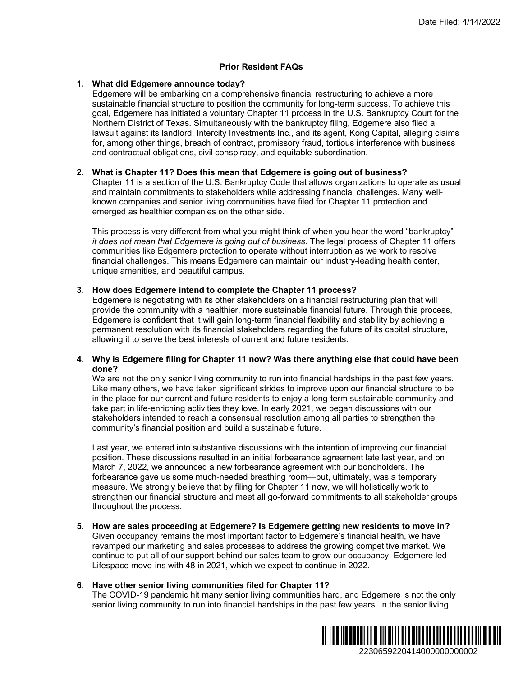# **Prior Resident FAQs**

### **1. What did Edgemere announce today?**

Edgemere will be embarking on a comprehensive financial restructuring to achieve a more sustainable financial structure to position the community for long-term success. To achieve this goal, Edgemere has initiated a voluntary Chapter 11 process in the U.S. Bankruptcy Court for the Northern District of Texas. Simultaneously with the bankruptcy filing, Edgemere also filed a lawsuit against its landlord, Intercity Investments Inc., and its agent, Kong Capital, alleging claims for, among other things, breach of contract, promissory fraud, tortious interference with business and contractual obligations, civil conspiracy, and equitable subordination. Date Filed: 4/14/2022<br>
gto achieve a more<br>
success. To achieve this<br>
s. Bankruptcy Court for the<br>
dgemere also filed a<br>
mg Capital, alleigng claims<br>
interference with business<br>
n.<br>
f business?<br>
Thusiness?<br>
Thusiness?<br>
Thus

### **2. What is Chapter 11? Does this mean that Edgemere is going out of business?**

Chapter 11 is a section of the U.S. Bankruptcy Code that allows organizations to operate as usual and maintain commitments to stakeholders while addressing financial challenges. Many wellknown companies and senior living communities have filed for Chapter 11 protection and emerged as healthier companies on the other side.

This process is very different from what you might think of when you hear the word "bankruptcy" – *it does not mean that Edgemere is going out of business.* The legal process of Chapter 11 offers communities like Edgemere protection to operate without interruption as we work to resolve financial challenges. This means Edgemere can maintain our industry-leading health center, unique amenities, and beautiful campus.

### **3. How does Edgemere intend to complete the Chapter 11 process?**

Edgemere is negotiating with its other stakeholders on a financial restructuring plan that will provide the community with a healthier, more sustainable financial future. Through this process, Edgemere is confident that it will gain long-term financial flexibility and stability by achieving a permanent resolution with its financial stakeholders regarding the future of its capital structure, allowing it to serve the best interests of current and future residents.

## **4. Why is Edgemere filing for Chapter 11 now? Was there anything else that could have been done?**

We are not the only senior living community to run into financial hardships in the past few years. Like many others, we have taken significant strides to improve upon our financial structure to be in the place for our current and future residents to enjoy a long-term sustainable community and take part in life-enriching activities they love. In early 2021, we began discussions with our stakeholders intended to reach a consensual resolution among all parties to strengthen the community's financial position and build a sustainable future.

Last year, we entered into substantive discussions with the intention of improving our financial position. These discussions resulted in an initial forbearance agreement late last year, and on March 7, 2022, we announced a new forbearance agreement with our bondholders. The forbearance gave us some much-needed breathing room—but, ultimately, was a temporary measure. We strongly believe that by filing for Chapter 11 now, we will holistically work to strengthen our financial structure and meet all go-forward commitments to all stakeholder groups throughout the process.

**5. How are sales proceeding at Edgemere? Is Edgemere getting new residents to move in?**  Given occupancy remains the most important factor to Edgemere's financial health, we have revamped our marketing and sales processes to address the growing competitive market. We continue to put all of our support behind our sales team to grow our occupancy. Edgemere led Lifespace move-ins with 48 in 2021, which we expect to continue in 2022.

## **6. Have other senior living communities filed for Chapter 11?**

The COVID-19 pandemic hit many senior living communities hard, and Edgemere is not the only senior living community to run into financial hardships in the past few years. In the senior living

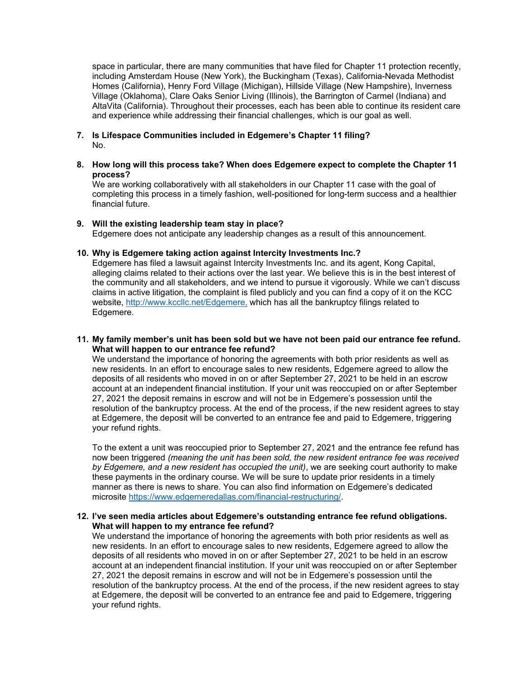space in particular, there are many communities that have filed for Chapter 11 protection recently, including Amsterdam House (New York), the Buckingham (Texas), California-Nevada Methodist Homes (California), Henry Ford Village (Michigan), Hillside Village (New Hampshire), Inverness Village (Oklahoma), Clare Oaks Senior Living (Illinois), the Barrington of Carmel (Indiana) and AltaVita (California). Throughout their processes, each has been able to continue its resident care and experience while addressing their financial challenges, which is our goal as well.

- **7. Is Lifespace Communities included in Edgemere's Chapter 11 filing?**  No.
- **8. How long will this process take? When does Edgemere expect to complete the Chapter 11 process?**

We are working collaboratively with all stakeholders in our Chapter 11 case with the goal of completing this process in a timely fashion, well-positioned for long-term success and a healthier financial future.

### **9. Will the existing leadership team stay in place?**

Edgemere does not anticipate any leadership changes as a result of this announcement.

## **10. Why is Edgemere taking action against Intercity Investments Inc.?**

Edgemere has filed a lawsuit against Intercity Investments Inc. and its agent, Kong Capital, alleging claims related to their actions over the last year. We believe this is in the best interest of the community and all stakeholders, and we intend to pursue it vigorously. While we can't discuss claims in active litigation, the complaint is filed publicly and you can find a copy of it on the KCC website, http://www.kccllc.net/Edgemere, which has all the bankruptcy filings related to Edgemere.

# **11. My family member's unit has been sold but we have not been paid our entrance fee refund. What will happen to our entrance fee refund?**

We understand the importance of honoring the agreements with both prior residents as well as new residents. In an effort to encourage sales to new residents, Edgemere agreed to allow the deposits of all residents who moved in on or after September 27, 2021 to be held in an escrow account at an independent financial institution. If your unit was reoccupied on or after September 27, 2021 the deposit remains in escrow and will not be in Edgemere's possession until the resolution of the bankruptcy process. At the end of the process, if the new resident agrees to stay at Edgemere, the deposit will be converted to an entrance fee and paid to Edgemere, triggering your refund rights.

To the extent a unit was reoccupied prior to September 27, 2021 and the entrance fee refund has now been triggered *(meaning the unit has been sold, the new resident entrance fee was received by Edgemere, and a new resident has occupied the unit)*, we are seeking court authority to make these payments in the ordinary course. We will be sure to update prior residents in a timely manner as there is news to share. You can also find information on Edgemere's dedicated microsite https://www.edgemeredallas.com/financial-restructuring/.

## **12. I've seen media articles about Edgemere's outstanding entrance fee refund obligations. What will happen to my entrance fee refund?**

We understand the importance of honoring the agreements with both prior residents as well as new residents. In an effort to encourage sales to new residents, Edgemere agreed to allow the deposits of all residents who moved in on or after September 27, 2021 to be held in an escrow account at an independent financial institution. If your unit was reoccupied on or after September 27, 2021 the deposit remains in escrow and will not be in Edgemere's possession until the resolution of the bankruptcy process. At the end of the process, if the new resident agrees to stay at Edgemere, the deposit will be converted to an entrance fee and paid to Edgemere, triggering your refund rights.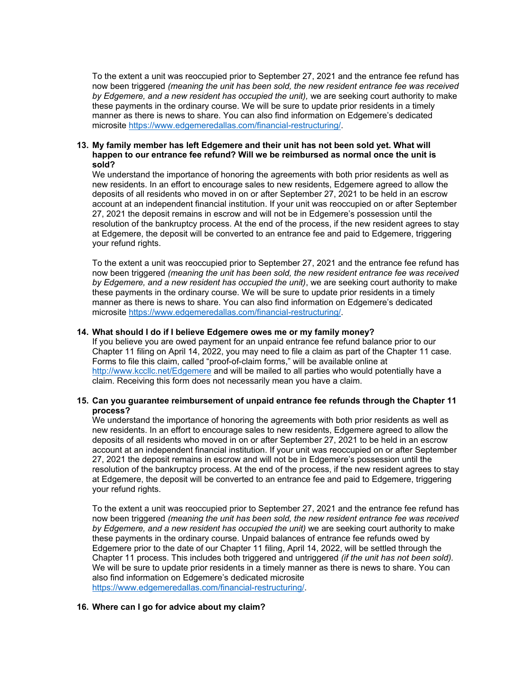To the extent a unit was reoccupied prior to September 27, 2021 and the entrance fee refund has now been triggered *(meaning the unit has been sold, the new resident entrance fee was received by Edgemere, and a new resident has occupied the unit),* we are seeking court authority to make these payments in the ordinary course. We will be sure to update prior residents in a timely manner as there is news to share. You can also find information on Edgemere's dedicated microsite https://www.edgemeredallas.com/financial-restructuring/.

### **13. My family member has left Edgemere and their unit has not been sold yet. What will happen to our entrance fee refund? Will we be reimbursed as normal once the unit is sold?**

We understand the importance of honoring the agreements with both prior residents as well as new residents. In an effort to encourage sales to new residents, Edgemere agreed to allow the deposits of all residents who moved in on or after September 27, 2021 to be held in an escrow account at an independent financial institution. If your unit was reoccupied on or after September 27, 2021 the deposit remains in escrow and will not be in Edgemere's possession until the resolution of the bankruptcy process. At the end of the process, if the new resident agrees to stay at Edgemere, the deposit will be converted to an entrance fee and paid to Edgemere, triggering your refund rights.

To the extent a unit was reoccupied prior to September 27, 2021 and the entrance fee refund has now been triggered *(meaning the unit has been sold, the new resident entrance fee was received by Edgemere, and a new resident has occupied the unit)*, we are seeking court authority to make these payments in the ordinary course. We will be sure to update prior residents in a timely manner as there is news to share. You can also find information on Edgemere's dedicated microsite https://www.edgemeredallas.com/financial-restructuring/.

### **14. What should I do if I believe Edgemere owes me or my family money?**

If you believe you are owed payment for an unpaid entrance fee refund balance prior to our Chapter 11 filing on April 14, 2022, you may need to file a claim as part of the Chapter 11 case. Forms to file this claim, called "proof-of-claim forms," will be available online at http://www.kccllc.net/Edgemere and will be mailed to all parties who would potentially have a claim. Receiving this form does not necessarily mean you have a claim.

## **15. Can you guarantee reimbursement of unpaid entrance fee refunds through the Chapter 11 process?**

We understand the importance of honoring the agreements with both prior residents as well as new residents. In an effort to encourage sales to new residents, Edgemere agreed to allow the deposits of all residents who moved in on or after September 27, 2021 to be held in an escrow account at an independent financial institution. If your unit was reoccupied on or after September 27, 2021 the deposit remains in escrow and will not be in Edgemere's possession until the resolution of the bankruptcy process. At the end of the process, if the new resident agrees to stay at Edgemere, the deposit will be converted to an entrance fee and paid to Edgemere, triggering your refund rights.

To the extent a unit was reoccupied prior to September 27, 2021 and the entrance fee refund has now been triggered *(meaning the unit has been sold, the new resident entrance fee was received by Edgemere, and a new resident has occupied the unit)* we are seeking court authority to make these payments in the ordinary course. Unpaid balances of entrance fee refunds owed by Edgemere prior to the date of our Chapter 11 filing, April 14, 2022, will be settled through the Chapter 11 process. This includes both triggered and untriggered *(if the unit has not been sold).* We will be sure to update prior residents in a timely manner as there is news to share. You can also find information on Edgemere's dedicated microsite https://www.edgemeredallas.com/financial-restructuring/.

#### **16. Where can I go for advice about my claim?**